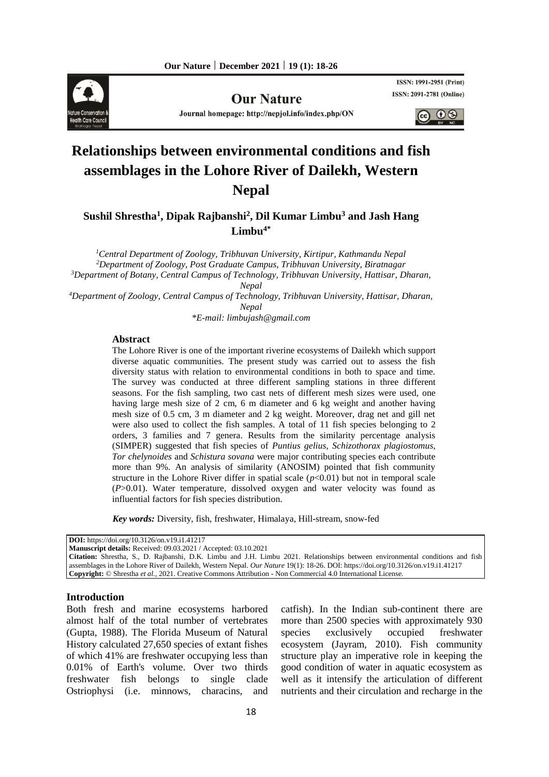

**Our Nature** 

Journal homepage: http://nepjol.info/index.php/ON



**ISSN: 1991-2951 (Print)** 

# **Relationships between environmental conditions and fish assemblages in the Lohore River of Dailekh, Western Nepal**

## **Sushil Shrestha<sup>1</sup> , Dipak Rajbanshi<sup>2</sup> , Dil Kumar Limbu<sup>3</sup> and Jash Hang Limbu4\***

*Central Department of Zoology, Tribhuvan University, Kirtipur, Kathmandu Nepal Department of Zoology, Post Graduate Campus, Tribhuvan University, Biratnagar Department of Botany, Central Campus of Technology, Tribhuvan University, Hattisar, Dharan, Nepal*

*<sup>4</sup>Department of Zoology, Central Campus of Technology, Tribhuvan University, Hattisar, Dharan, Nepal*

*\*E-mail: limbujash@gmail.com*

### **Abstract**

The Lohore River is one of the important riverine ecosystems of Dailekh which support diverse aquatic communities. The present study was carried out to assess the fish diversity status with relation to environmental conditions in both to space and time. The survey was conducted at three different sampling stations in three different seasons. For the fish sampling, two cast nets of different mesh sizes were used, one having large mesh size of 2 cm, 6 m diameter and 6 kg weight and another having mesh size of 0.5 cm, 3 m diameter and 2 kg weight. Moreover, drag net and gill net were also used to collect the fish samples. A total of 11 fish species belonging to 2 orders, 3 families and 7 genera. Results from the similarity percentage analysis (SIMPER) suggested that fish species of *Puntius gelius, Schizothorax plagiostomus, Tor chelynoides* and *Schistura sovana* were major contributing species each contribute more than 9%. An analysis of similarity (ANOSIM) pointed that fish community structure in the Lohore River differ in spatial scale  $(p<0.01)$  but not in temporal scale (*P*>0.01). Water temperature, dissolved oxygen and water velocity was found as influential factors for fish species distribution.

 *Key words:* Diversity, fish, freshwater, Himalaya, Hill-stream, snow-fed

**DOI:** https://doi.org/10.3126/on.v19.i1.41217 **Manuscript details:** Received: 09.03.2021 / Accepted: 03.10.2021 **Citation:** Shrestha, S., D. Rajbanshi, D.K. Limbu and J.H. Limbu 2021. Relationships between environmental conditions and fish assemblages in the Lohore River of Dailekh, Western Nepal. *Our Nature* 19(1): 18-26. DOI: https://doi.org/10.3126/on.v19.i1.41217 **Copyright:** © Shrestha *et al.,* 2021. Creative Commons Attribution - Non Commercial 4.0 International License.

### **Introduction**

Both fresh and marine ecosystems harbored almost half of the total number of vertebrates (Gupta, 1988). The Florida Museum of Natural History calculated 27,650 species of extant fishes of which 41% are freshwater occupying less than 0.01% of Earth's volume. Over two thirds freshwater fish belongs to single clade Ostriophysi (i.e. minnows, characins, and

catfish). In the Indian sub-continent there are more than 2500 species with approximately 930 species exclusively occupied freshwater ecosystem (Jayram, 2010). Fish community structure play an imperative role in keeping the good condition of water in aquatic ecosystem as well as it intensify the articulation of different nutrients and their circulation and recharge in the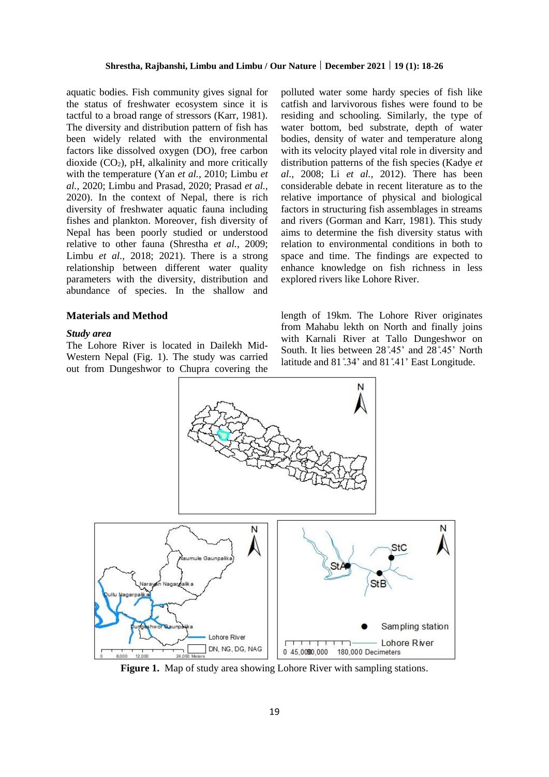#### **Shrestha, Rajbanshi, Limbu and Limbu / Our Nature | December 2021 | 19 (1): 18-26**

aquatic bodies. Fish community gives signal for the status of freshwater ecosystem since it is tactful to a broad range of stressors (Karr, 1981). The diversity and distribution pattern of fish has been widely related with the environmental factors like dissolved oxygen (DO), free carbon dioxide  $(CO_2)$ , pH, alkalinity and more critically with the temperature (Yan *et al.,* 2010; Limbu *et al.,* 2020; Limbu and Prasad, 2020; Prasad *et al.,* 2020). In the context of Nepal, there is rich diversity of freshwater aquatic fauna including fishes and plankton. Moreover, fish diversity of Nepal has been poorly studied or understood relative to other fauna (Shrestha *et al.,* 2009; Limbu *et al.,* 2018; 2021). There is a strong relationship between different water quality parameters with the diversity, distribution and abundance of species. In the shallow and

#### **Materials and Method**

#### *Study area*

The Lohore River is located in Dailekh Mid-Western Nepal (Fig. 1). The study was carried out from Dungeshwor to Chupra covering the

polluted water some hardy species of fish like catfish and larvivorous fishes were found to be residing and schooling. Similarly, the type of water bottom, bed substrate, depth of water bodies, density of water and temperature along with its velocity played vital role in diversity and distribution patterns of the fish species (Kadye *et al.,* 2008; Li *et al.,* 2012). There has been considerable debate in recent literature as to the relative importance of physical and biological factors in structuring fish assemblages in streams and rivers (Gorman and Karr, 1981). This study aims to determine the fish diversity status with relation to environmental conditions in both to space and time. The findings are expected to enhance knowledge on fish richness in less explored rivers like Lohore River.

length of 19km. The Lohore River originates from Mahabu lekth on North and finally joins with Karnali River at Tallo Dungeshwor on South. It lies between  $28^\circ.45'$  and  $28^\circ.45'$  North latitude and 81°.34' and 81°.41' East Longitude.



**Figure 1.** Map of study area showing Lohore River with sampling stations.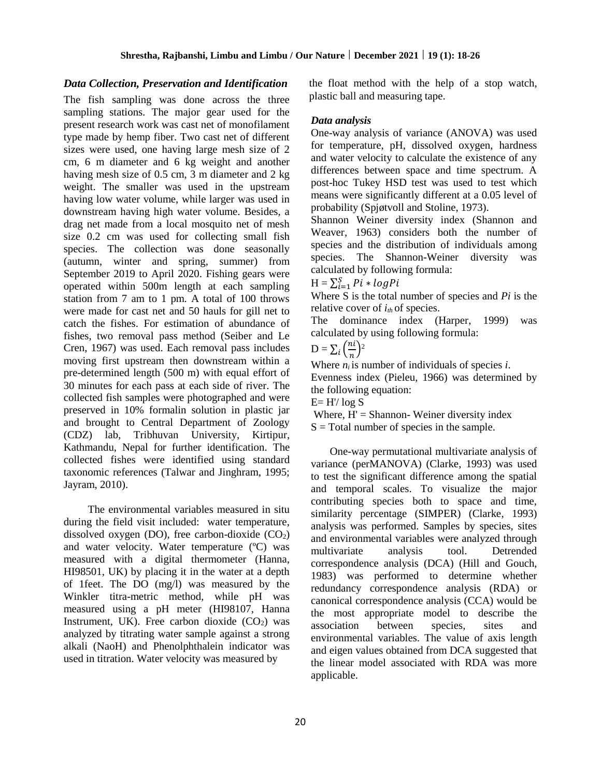## *Data Collection, Preservation and Identification*

The fish sampling was done across the three sampling stations. The major gear used for the present research work was cast net of monofilament type made by hemp fiber. Two cast net of different sizes were used, one having large mesh size of 2 cm, 6 m diameter and 6 kg weight and another having mesh size of 0.5 cm, 3 m diameter and 2 kg weight. The smaller was used in the upstream having low water volume, while larger was used in downstream having high water volume. Besides, a drag net made from a local mosquito net of mesh size 0.2 cm was used for collecting small fish species. The collection was done seasonally (autumn, winter and spring, summer) from September 2019 to April 2020. Fishing gears were operated within 500m length at each sampling station from 7 am to 1 pm. A total of 100 throws were made for cast net and 50 hauls for gill net to catch the fishes. For estimation of abundance of fishes, two removal pass method (Seiber and Le Cren, 1967) was used. Each removal pass includes moving first upstream then downstream within a pre-determined length (500 m) with equal effort of 30 minutes for each pass at each side of river. The collected fish samples were photographed and were preserved in 10% formalin solution in plastic jar and brought to Central Department of Zoology (CDZ) lab, Tribhuvan University, Kirtipur, Kathmandu, Nepal for further identification. The collected fishes were identified using standard taxonomic references (Talwar and Jinghram, 1995; Jayram, 2010).

 The environmental variables measured in situ during the field visit included: water temperature, dissolved oxygen (DO), free carbon-dioxide  $(CO<sub>2</sub>)$ and water velocity. Water temperature (ºC) was measured with a digital thermometer (Hanna, HI98501, UK) by placing it in the water at a depth of 1feet. The DO (mg/l) was measured by the Winkler titra-metric method, while pH was measured using a pH meter (HI98107, Hanna Instrument, UK). Free carbon dioxide  $(CO<sub>2</sub>)$  was analyzed by titrating water sample against a strong alkali (NaoH) and Phenolphthalein indicator was used in titration. Water velocity was measured by

the float method with the help of a stop watch, plastic ball and measuring tape.

#### *Data analysis*

One-way analysis of variance (ANOVA) was used for temperature, pH, dissolved oxygen, hardness and water velocity to calculate the existence of any differences between space and time spectrum. A post-hoc Tukey HSD test was used to test which means were significantly different at a 0.05 level of probability (Spjøtvoll and Stoline, 1973).

Shannon Weiner diversity index (Shannon and Weaver, 1963) considers both the number of species and the distribution of individuals among species. The Shannon-Weiner diversity was calculated by following formula:

 $H = \sum_{i=1}^{S} Pi * logPi$ 

Where S is the total number of species and *Pi* is the relative cover of *ith* of species.

The dominance index (Harper, 1999) was calculated by using following formula:

$$
D = \sum_i \left(\frac{ni}{n}\right)^2
$$

Where  $n_i$  is number of individuals of species *i*.

Evenness index (Pieleu, 1966) was determined by the following equation:

 $E= H'/ \log S$ 

Where,  $H' =$  Shannon-Weiner diversity index  $S = Total number of species in the sample.$ 

 One-way permutational multivariate analysis of variance (perMANOVA) (Clarke, 1993) was used to test the significant difference among the spatial and temporal scales. To visualize the major contributing species both to space and time, similarity percentage (SIMPER) (Clarke, 1993) analysis was performed. Samples by species, sites and environmental variables were analyzed through multivariate analysis tool. Detrended correspondence analysis (DCA) (Hill and Gouch, 1983) was performed to determine whether redundancy correspondence analysis (RDA) or canonical correspondence analysis (CCA) would be the most appropriate model to describe the association between species, sites and environmental variables. The value of axis length and eigen values obtained from DCA suggested that the linear model associated with RDA was more applicable.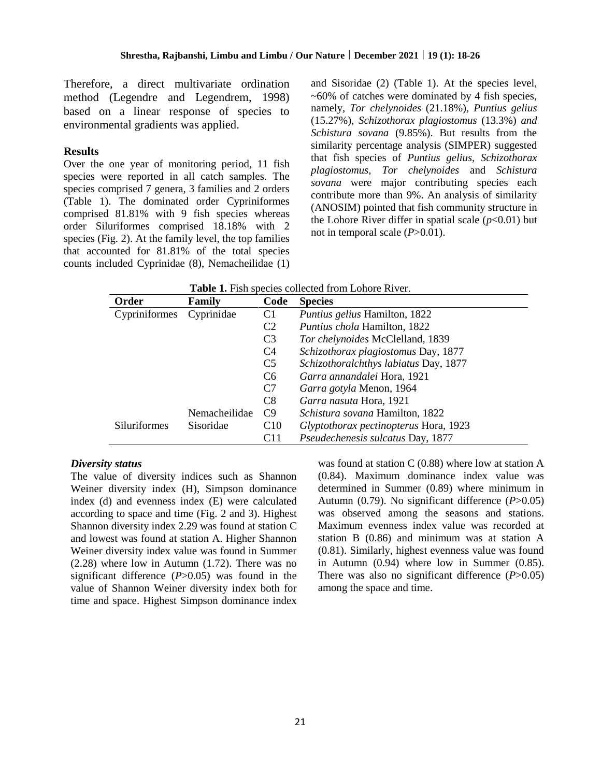Therefore, a direct multivariate ordination method (Legendre and Legendrem, 1998) based on a linear response of species to environmental gradients was applied.

## **Results**

Over the one year of monitoring period, 11 fish species were reported in all catch samples. The species comprised 7 genera, 3 families and 2 orders (Table 1). The dominated order Cypriniformes comprised 81.81% with 9 fish species whereas order Siluriformes comprised 18.18% with 2 species (Fig. 2). At the family level, the top families that accounted for 81.81% of the total species counts included Cyprinidae (8), Nemacheilidae (1) and Sisoridae (2) (Table 1). At the species level,  $~1$   $~60\%$  of catches were dominated by 4 fish species, namely, *Tor chelynoides* (21.18%), *Puntius gelius*  (15.27%), *Schizothorax plagiostomus* (13.3%) *and Schistura sovana* (9.85%). But results from the similarity percentage analysis (SIMPER) suggested that fish species of *Puntius gelius, Schizothorax plagiostomus, Tor chelynoides* and *Schistura sovana* were major contributing species each contribute more than 9%. An analysis of similarity (ANOSIM) pointed that fish community structure in the Lohore River differ in spatial scale  $(p<0.01)$  but not in temporal scale (*P*>0.01).

|  |  | <b>Table 1.</b> Fish species collected from Lohore River. |  |
|--|--|-----------------------------------------------------------|--|
|--|--|-----------------------------------------------------------|--|

| Order         | <b>Family</b> | Code           | <b>Species</b>                        |
|---------------|---------------|----------------|---------------------------------------|
| Cypriniformes | Cyprinidae    | C <sub>1</sub> | <i>Puntius gelius</i> Hamilton, 1822  |
|               |               | C <sub>2</sub> | Puntius chola Hamilton, 1822          |
|               |               | C <sub>3</sub> | Tor chelynoides McClelland, 1839      |
|               |               | C <sub>4</sub> | Schizothorax plagiostomus Day, 1877   |
|               |               | C <sub>5</sub> | Schizothoralchthys labiatus Day, 1877 |
|               |               | C <sub>6</sub> | Garra annandalei Hora, 1921           |
|               |               | C7             | Garra gotyla Menon, 1964              |
|               |               | C8             | Garra nasuta Hora, 1921               |
|               | Nemacheilidae | C9             | Schistura sovana Hamilton, 1822       |
| Siluriformes  | Sisoridae     | C10            | Glyptothorax pectinopterus Hora, 1923 |
|               |               | C11            | Pseudechenesis sulcatus Day, 1877     |

#### *Diversity status*

The value of diversity indices such as Shannon Weiner diversity index (H), Simpson dominance index (d) and evenness index (E) were calculated according to space and time (Fig. 2 and 3). Highest Shannon diversity index 2.29 was found at station C and lowest was found at station A. Higher Shannon Weiner diversity index value was found in Summer (2.28) where low in Autumn (1.72). There was no significant difference (*P*>0.05) was found in the value of Shannon Weiner diversity index both for time and space. Highest Simpson dominance index was found at station C (0.88) where low at station A (0.84). Maximum dominance index value was determined in Summer (0.89) where minimum in Autumn (0.79). No significant difference (*P*>0.05) was observed among the seasons and stations. Maximum evenness index value was recorded at station B (0.86) and minimum was at station A (0.81). Similarly, highest evenness value was found in Autumn (0.94) where low in Summer (0.85). There was also no significant difference (*P*>0.05) among the space and time.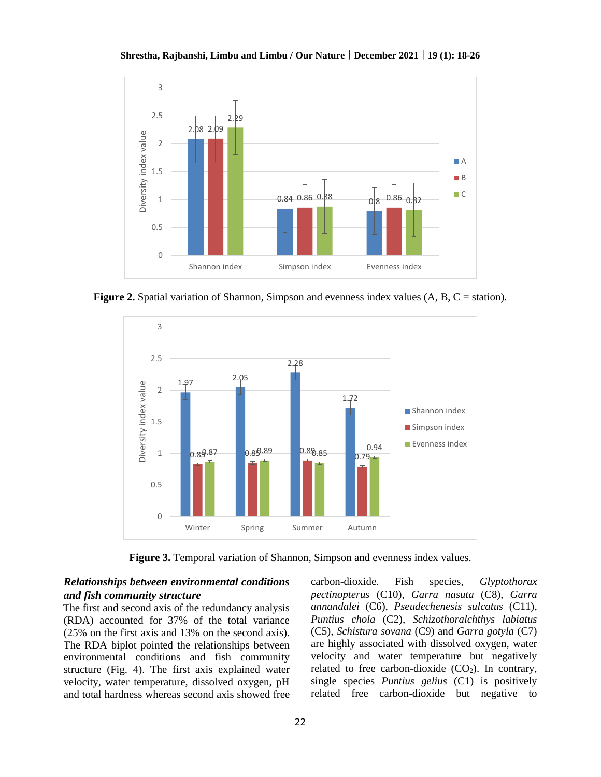## **Shrestha, Rajbanshi, Limbu and Limbu / Our Nature | December 2021 | 19 (1): 18-26**



**Figure 2.** Spatial variation of Shannon, Simpson and evenness index values (A, B, C = station).



**Figure 3.** Temporal variation of Shannon, Simpson and evenness index values.

## *Relationships between environmental conditions and fish community structure*

 The first and second axis of the redundancy analysis (RDA) accounted for 37% of the total variance (25% on the first axis and 13% on the second axis). The RDA biplot pointed the relationships between environmental conditions and fish community structure (Fig. 4). The first axis explained water velocity, water temperature, dissolved oxygen, pH and total hardness whereas second axis showed free carbon-dioxide. Fish species, *Glyptothorax pectinopterus* (C10), *Garra nasuta* (C8), *Garra annandalei* (C6), *Pseudechenesis sulcatus* (C11), *Puntius chola* (C2), *Schizothoralchthys labiatus* (C5), *Schistura sovana* (C9) and *Garra gotyla* (C7) are highly associated with dissolved oxygen, water velocity and water temperature but negatively related to free carbon-dioxide  $(CO<sub>2</sub>)$ . In contrary, single species *Puntius gelius* (C1) is positively related free carbon-dioxide but negative to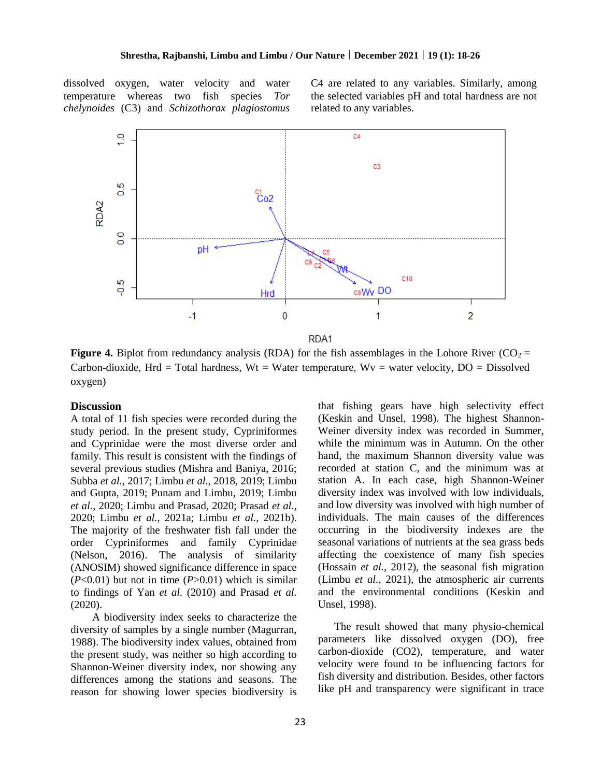dissolved oxygen, water velocity and water temperature whereas two fish species *Tor chelynoides* (C3) and *Schizothorax plagiostomus*

C4 are related to any variables. Similarly, among the selected variables pH and total hardness are not related to any variables.



**Figure 4.** Biplot from redundancy analysis (RDA) for the fish assemblages in the Lohore River ( $CO<sub>2</sub>$ ) Carbon-dioxide, Hrd = Total hardness,  $Wt = Water$  temperature,  $Wv = water$  velocity,  $DO = Disolved$ oxygen)

## **Discussion**

A total of 11 fish species were recorded during the study period. In the present study, Cypriniformes and Cyprinidae were the most diverse order and family. This result is consistent with the findings of several previous studies (Mishra and Baniya, 2016; Subba *et al.,* 2017; Limbu *et al.,* 2018, 2019; Limbu and Gupta, 2019; Punam and Limbu, 2019; Limbu *et al.,* 2020; Limbu and Prasad, 2020; Prasad *et al.,* 2020; Limbu *et al.,* 2021a; Limbu *et al.,* 2021b). The majority of the freshwater fish fall under the order Cypriniformes and family Cyprinidae (Nelson, 2016). The analysis of similarity (ANOSIM) showed significance difference in space  $(P<0.01)$  but not in time  $(P>0.01)$  which is similar to findings of Yan *et al.* (2010) and Prasad *et al.* (2020).

 A biodiversity index seeks to characterize the diversity of samples by a single number (Magurran, 1988). The biodiversity index values, obtained from the present study, was neither so high according to Shannon-Weiner diversity index, nor showing any differences among the stations and seasons. The reason for showing lower species biodiversity is that fishing gears have high selectivity effect (Keskin and Unsel, 1998). The highest Shannon-Weiner diversity index was recorded in Summer, while the minimum was in Autumn. On the other hand, the maximum Shannon diversity value was recorded at station C, and the minimum was at station A. In each case, high Shannon-Weiner diversity index was involved with low individuals, and low diversity was involved with high number of individuals. The main causes of the differences occurring in the biodiversity indexes are the seasonal variations of nutrients at the sea grass beds affecting the coexistence of many fish species (Hossain *et al.,* 2012), the seasonal fish migration (Limbu *et al.,* 2021), the atmospheric air currents and the environmental conditions (Keskin and Unsel, 1998).

 The result showed that many physio-chemical parameters like dissolved oxygen (DO), free carbon-dioxide (CO2), temperature, and water velocity were found to be influencing factors for fish diversity and distribution. Besides, other factors like pH and transparency were significant in trace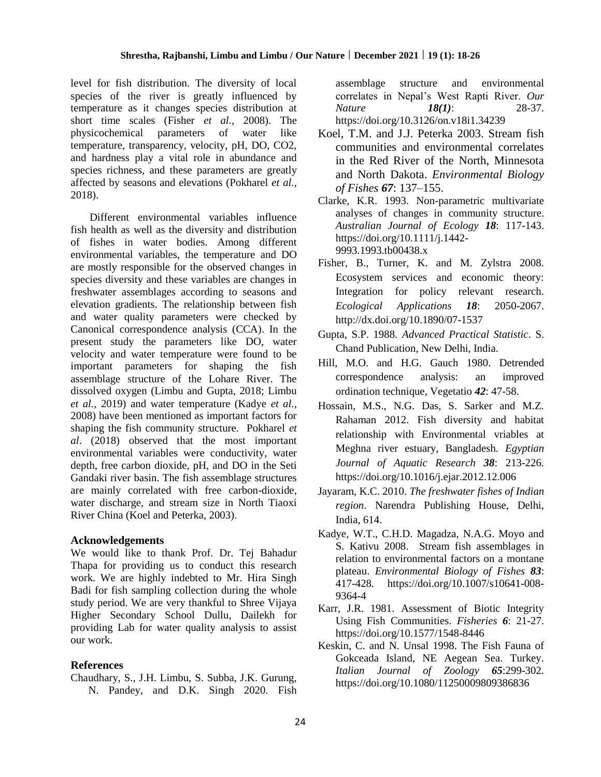level for fish distribution. The diversity of local species of the river is greatly influenced by temperature as it changes species distribution at short time scales (Fisher *et al.,* 2008). The physicochemical parameters of water like temperature, transparency, velocity, pH, DO, CO2, and hardness play a vital role in abundance and species richness, and these parameters are greatly affected by seasons and elevations (Pokharel *et al.,* 2018).

 Different environmental variables influence fish health as well as the diversity and distribution of fishes in water bodies. Among different environmental variables, the temperature and DO are mostly responsible for the observed changes in species diversity and these variables are changes in freshwater assemblages according to seasons and elevation gradients. The relationship between fish and water quality parameters were checked by Canonical correspondence analysis (CCA). In the present study the parameters like DO, water velocity and water temperature were found to be important parameters for shaping the fish assemblage structure of the Lohare River. The dissolved oxygen (Limbu and Gupta, 2018; Limbu *et al.,* 2019) and water temperature (Kadye *et al.,* 2008) have been mentioned as important factors for shaping the fish community structure. Pokharel *et al*. (2018) observed that the most important environmental variables were conductivity, water depth, free carbon dioxide, pH, and DO in the Seti Gandaki river basin. The fish assemblage structures are mainly correlated with free carbon-dioxide, water discharge, and stream size in North Tiaoxi River China (Koel and Peterka, 2003).

## **Acknowledgements**

We would like to thank Prof. Dr. Tej Bahadur Thapa for providing us to conduct this research work. We are highly indebted to Mr. Hira Singh Badi for fish sampling collection during the whole study period. We are very thankful to Shree Vijaya Higher Secondary School Dullu, Dailekh for providing Lab for water quality analysis to assist our work.

#### **References**

Chaudhary, S., J.H. Limbu, S. Subba, J.K. Gurung, N. Pandey, and D.K. Singh 2020. Fish

assemblage structure and environmental correlates in Nepal's West Rapti River. *Our Nature 18(1)*: 28-37. <https://doi.org/10.3126/on.v18i1.34239>

- Koel, T.M. and J.J. Peterka 2003. Stream fish communities and environmental correlates in the Red River of the North, Minnesota and North Dakota. *Environmental Biology of Fishes 67*: 137–155.
- Clarke, K.R. 1993. Non-parametric multivariate analyses of changes in community structure. *Australian Journal of Ecology 18*: 117-143. https://doi.org/10.1111/j.1442- 9993.1993.tb00438.x
- Fisher, B., Turner, K. and M. Zylstra 2008. Ecosystem services and economic theory: Integration for policy relevant research. *Ecological Applications 18*: 2050-2067. <http://dx.doi.org/10.1890/07-1537>
- Gupta, S.P. 1988. *Advanced Practical Statistic*. S. Chand Publication, New Delhi, India.
- Hill, M.O. and H.G. Gauch 1980. Detrended correspondence analysis: an improved ordination technique, Vegetatio *42*: 47-58.
- Hossain, M.S., N.G. Das, S. Sarker and M.Z. Rahaman 2012. Fish diversity and habitat relationship with Environmental vriables at Meghna river estuary, Bangladesh. *Egyptian Journal of Aquatic Research 38*: 213-226. <https://doi.org/10.1016/j.ejar.2012.12.006>
- Jayaram, K.C. 2010. *The freshwater fishes of Indian region*. Narendra Publishing House, Delhi, India, 614.
- Kadye, W.T., C.H.D. Magadza, N.A.G. Moyo and S. Kativu 2008. Stream fish assemblages in relation to environmental factors on a montane plateau. *Environmental Biology of Fishes 83*: 417-428*.* [https://doi.org/10.1007/s10641-008-](https://doi.org/10.1007/s10641-008-9364-4) [9364-4](https://doi.org/10.1007/s10641-008-9364-4)
- Karr, J.R. 1981. Assessment of Biotic Integrity Using Fish Communities. *Fisheries 6*: 21-27. <https://doi.org/10.1577/1548-8446>
- Keskin, C. and N. Unsal 1998. The Fish Fauna of Gokceada Island, NE Aegean Sea. Turkey. *Italian Journal of Zoology 65*:299-302. <https://doi.org/10.1080/11250009809386836>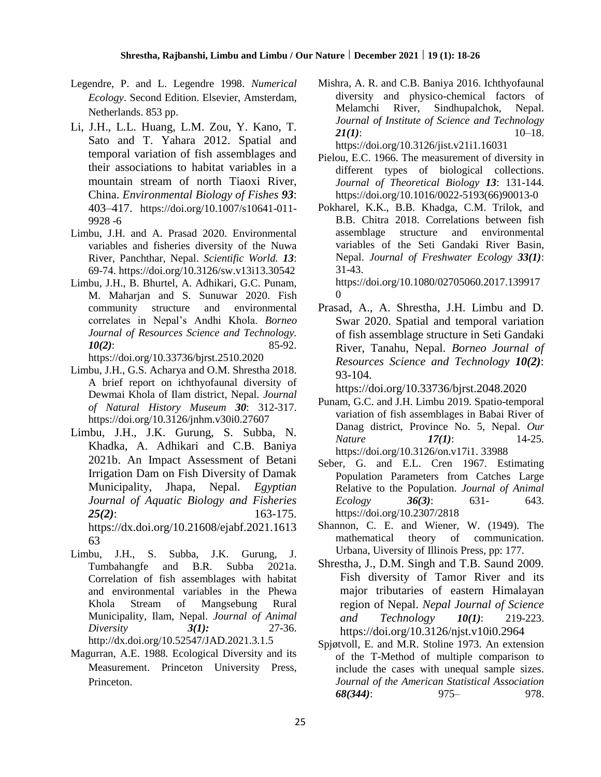## **Shrestha, Rajbanshi, Limbu and Limbu / Our Nature | December 2021 | 19 (1): 18-26**

- Legendre, P. and L. Legendre 1998. *Numerical Ecology*. Second Edition. Elsevier, Amsterdam, Netherlands. 853 pp.
- Li, J.H., L.L. Huang, L.M. Zou, Y. Kano, T. Sato and T. Yahara 2012. Spatial and temporal variation of fish assemblages and their associations to habitat variables in a mountain stream of north Tiaoxi River, China. *Environmental Biology of Fishes 93*: 403–417. [https://doi.org/10.1007/s10641-011-](https://doi.org/10.1007/s10641-011-%209928%20-6) [9928 -6](https://doi.org/10.1007/s10641-011-%209928%20-6)
- Limbu, J.H. and A. Prasad 2020. Environmental variables and fisheries diversity of the Nuwa River, Panchthar, Nepal. *Scientific World. 13*: 69-74.<https://doi.org/10.3126/sw.v13i13.30542>
- Limbu, J.H., B. Bhurtel, A. Adhikari, G.C. Punam, M. Maharjan and S. Sunuwar 2020. Fish community structure and environmental correlates in Nepal's Andhi Khola. *Borneo Journal of Resources Science and Technology. 10(2)*: 85-92.

<https://doi.org/10.33736/bjrst.2510.2020>

- Limbu, J.H., G.S. Acharya and O.M. Shrestha 2018. A brief report on ichthyofaunal diversity of Dewmai Khola of Ilam district, Nepal. *Journal of Natural History Museum 30*: 312-317. <https://doi.org/10.3126/jnhm.v30i0.27607>
- Limbu, J.H., J.K. Gurung, S. Subba, N. Khadka, A. Adhikari and C.B. Baniya 2021b. An Impact Assessment of Betani Irrigation Dam on Fish Diversity of Damak Municipality, Jhapa, Nepal. *Egyptian Journal of Aquatic Biology and Fisheries 25(2)*: 163-175. [https://dx.doi.org/10.21608/ejabf.2021.1613](https://dx.doi.org/10.21608/ejabf.2021.161363) [63](https://dx.doi.org/10.21608/ejabf.2021.161363)
- Limbu, J.H., S. Subba, J.K. Gurung, J. Tumbahangfe and B.R. Subba 2021a. Correlation of fish assemblages with habitat and environmental variables in the Phewa Khola Stream of Mangsebung Rural Municipality, Ilam, Nepal. *Journal of Animal Diversity 3(1):* 27-36. <http://dx.doi.org/10.52547/JAD.2021.3.1.5>
- Magurran, A.E. 1988. Ecological Diversity and its Measurement. Princeton University Press, Princeton.

Mishra, A. R. and C.B. Baniya 2016. Ichthyofaunal diversity and physico-chemical factors of Melamchi River, Sindhupalchok, Nepal. *Journal of Institute of Science and Technology 21(1)*: 10–18.

<https://doi.org/10.3126/jist.v21i1.16031>

- Pielou, E.C. 1966. The measurement of diversity in different types of biological collections. *Journal of Theoretical Biology 13*: 131-144. [https://doi.org/10.1016/0022-5193\(66\)90013-0](https://doi.org/10.1016/0022-5193(66)90013-0)
- Pokharel, K.K., B.B. Khadga, C.M. Trilok, and B.B. Chitra 2018. Correlations between fish assemblage structure and environmental variables of the Seti Gandaki River Basin, Nepal. *Journal of Freshwater Ecology 33(1)*: 31-43.

https://doi.org/10.1080/02705060.2017.139917  $\Omega$ 

Prasad, A., A. Shrestha, J.H. Limbu and D. Swar 2020. Spatial and temporal variation of fish assemblage structure in Seti Gandaki River, Tanahu, Nepal. *Borneo Journal of Resources Science and Technology 10(2)*: 93-104.

https://doi.org/10.33736/bjrst.2048.2020

- Punam, G.C. and J.H. Limbu 2019. Spatio-temporal variation of fish assemblages in Babai River of Danag district, Province No. 5, Nepal. *Our Nature 17(1)*: 14-25. [https://doi.org/10.3126/on.v17i1. 33988](https://doi.org/10.3126/on.v17i1.%2033988)
- Seber, G. and E.L. Cren 1967. Estimating Population Parameters from Catches Large Relative to the Population. *Journal of Animal Ecology 36(3)*: 631- 643. <https://doi.org/10.2307/2818>
- Shannon, C. E. and Wiener, W. (1949). The mathematical theory of communication. Urbana, Uiversity of Illinois Press, pp: 177.
- Shrestha, J., D.M. Singh and T.B. Saund 2009. Fish diversity of Tamor River and its major tributaries of eastern Himalayan region of Nepal. *Nepal Journal of Science and Technology 10(1)*: 219-223. <https://doi.org/10.3126/njst.v10i0.2964>
- Spjøtvoll, E. and M.R. Stoline 1973. An extension of the T-Method of multiple comparison to include the cases with unequal sample sizes. *Journal of the American Statistical Association 68(344)*: 975– 978.